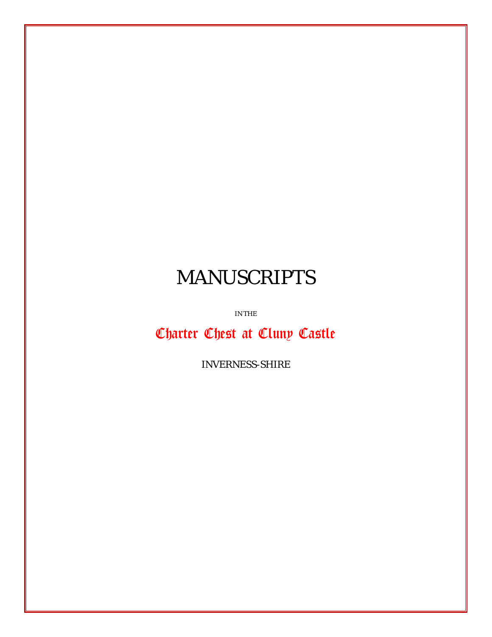## MANUSCRIPTS

IN THE

Charter Chest at Cluny Castle

*INVERNESS-SHIRE*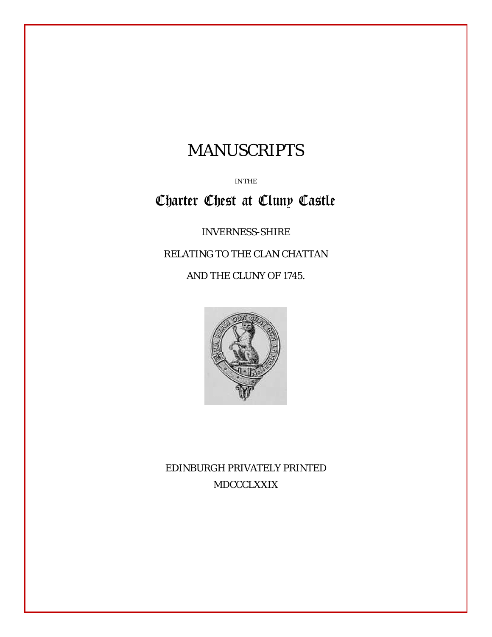## MANUSCRIPTS

IN THE

## Charter Chest at Cluny Castle

*INVERNESS-SHIRE*

RELATING TO THE CLAN CHATTAN

AND THE CLUNY OF 1745.



EDINBURGH PRIVATELY PRINTED MDCCCLXXIX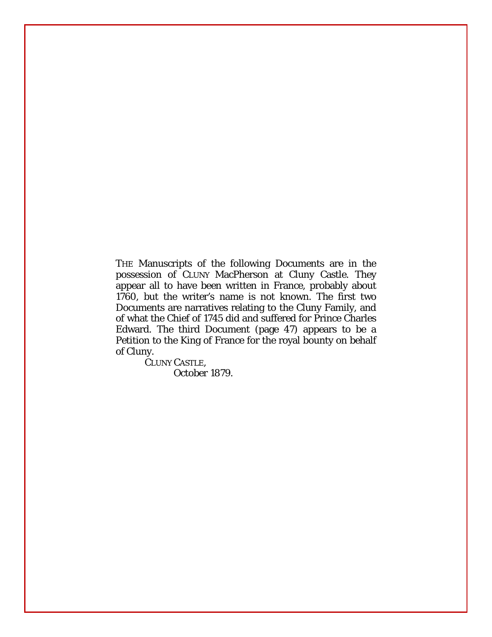THE Manuscripts of the following Documents are in the possession of CLUNY MacPherson at Cluny Castle. They appear all to have been written in France, probably about 1760, but the writer's name is not known. The first two Documents are narratives relating to the Cluny Family, and of what the Chief of 1745 did and suffered for Prince Charles Edward. The third Document (page 47) appears to be a Petition to the King of France for the royal bounty on behalf of Cluny.

> CLUNY CASTLE, *October 1879.*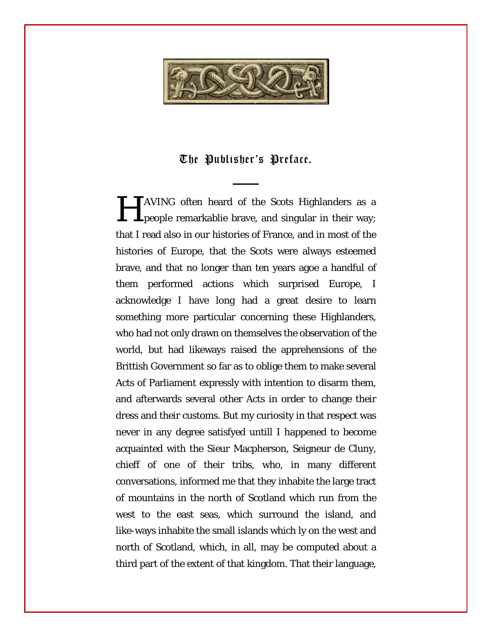

## The Publisher's Preface.

**TAVING** often heard of the Scots Highlanders as a **HAVING** often heard of the Scots Highlanders as a people remarkablie brave, and singular in their way; that I read also in our histories of France, and in most of the histories of Europe, that the Scots were always esteemed brave, and that no longer than ten years agoe a handful of them performed actions which surprised Europe, I acknowledge I have long had a great desire to learn something more particular concerning these Highlanders, who had not only drawn on themselves the observation of the world, but had likeways raised the apprehensions of the Brittish Government so far as to oblige them to make several Acts of Parliament expressly with intention to disarm them, and afterwards several other Acts in order to change their dress and their customs. But my curiosity in that respect was never in any degree satisfyed untill I happened to become acquainted with the Sieur Macpherson, Seigneur de Cluny, chieff of one of their tribs, who, in many different conversations, informed me that they inhabite the large tract of mountains in the north of Scotland which run from the west to the east seas, which surround the island, and like-ways inhabite the small islands which ly on the west and north of Scotland, which, in all, may be computed about a third part of the extent of that kingdom. That their language,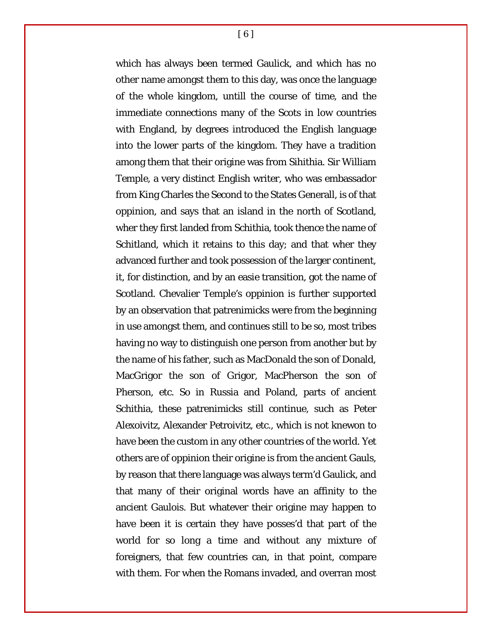which has always been termed Gaulick, and which has no other name amongst them to this day, was once the language of the whole kingdom, untill the course of time, and the immediate connections many of the Scots in low countries with England, by degrees introduced the English language into the lower parts of the kingdom. They have a tradition among them that their origine was from Sihithia. Sir William Temple, a very distinct English writer, who was embassador from King Charles the Second to the States Generall, is of that oppinion, and says that an island in the north of Scotland, wher they first landed from Schithia, took thence the name of Schitland, which it retains to this day; and that wher they advanced further and took possession of the larger continent, it, for distinction, and by an easie transition, got the name of Scotland. Chevalier Temple's oppinion is further supported by an observation that patrenimicks were from the beginning in use amongst them, and continues still to be so, most tribes having no way to distinguish one person from another but by the name of his father, such as MacDonald the son of Donald, MacGrigor the son of Grigor, MacPherson the son of Pherson, etc. So in Russia and Poland, parts of ancient Schithia, these patrenimicks still continue, such as Peter Alexoivitz, Alexander Petroivitz, etc., which is not knewon to have been the custom in any other countries of the world. Yet others are of oppinion their origine is from the ancient Gauls, by reason that there language was always term'd Gaulick, and that many of their original words have an affinity to the ancient Gaulois. But whatever their origine may happen to have been it is certain they have posses'd that part of the world for so long a time and without any mixture of foreigners, that few countries can, in that point, compare with them. For when the Romans invaded, and overran most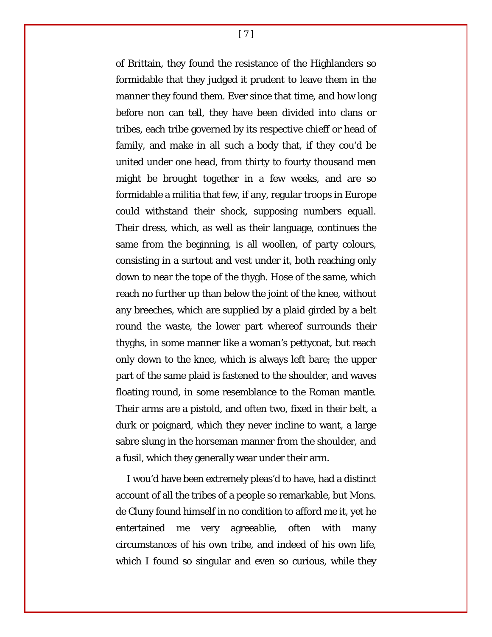of Brittain, they found the resistance of the Highlanders so formidable that they judged it prudent to leave them in the manner they found them. Ever since that time, and how long before non can tell, they have been divided into clans or tribes, each tribe governed by its respective chieff or head of family, and make in all such a body that, if they cou'd be united under one head, from thirty to fourty thousand men might be brought together in a few weeks, and are so formidable a militia that few, if any, regular troops in Europe could withstand their shock, supposing numbers equall. Their dress, which, as well as their language, continues the same from the beginning, is all woollen, of party colours, consisting in a surtout and vest under it, both reaching only down to near the tope of the thygh. Hose of the same, which reach no further up than below the joint of the knee, without any breeches, which are supplied by a plaid girded by a belt round the waste, the lower part whereof surrounds their thyghs, in some manner like a woman's pettycoat, but reach only down to the knee, which is always left bare; the upper part of the same plaid is fastened to the shoulder, and waves floating round, in some resemblance to the Roman mantle. Their arms are a pistold, and often two, fixed in their belt, a durk or poignard, which they never incline to want, a large sabre slung in the horseman manner from the shoulder, and a fusil, which they generally wear under their arm.

I wou'd have been extremely pleas'd to have, had a distinct account of all the tribes of a people so remarkable, but Mons. de Cluny found himself in no condition to afford me it, yet he entertained me very agreeablie, often with many circumstances of his own tribe, and indeed of his own life, which I found so singular and even so curious, while they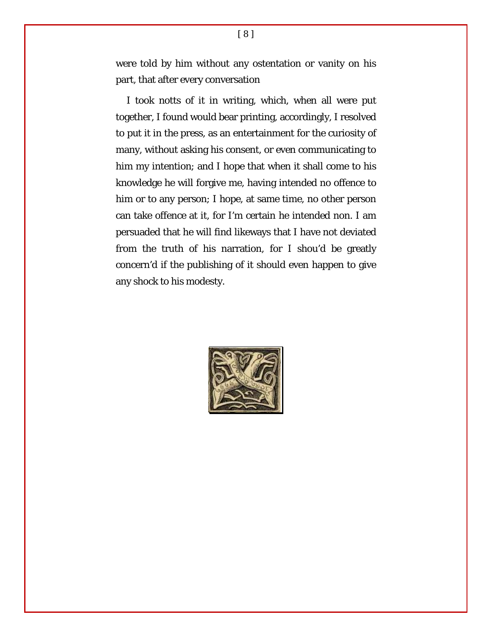were told by him without any ostentation or vanity on his part, that after every conversation

I took notts of it in writing, which, when all were put together, I found would bear printing, accordingly, I resolved to put it in the press, as an entertainment for the curiosity of many, without asking his consent, or even communicating to him my intention; and I hope that when it shall come to his knowledge he will forgive me, having intended no offence to him or to any person; I hope, at same time, no other person can take offence at it, for I'm certain he intended non. I am persuaded that he will find likeways that I have not deviated from the truth of his narration, for I shou'd be greatly concern'd if the publishing of it should even happen to give any shock to his modesty.

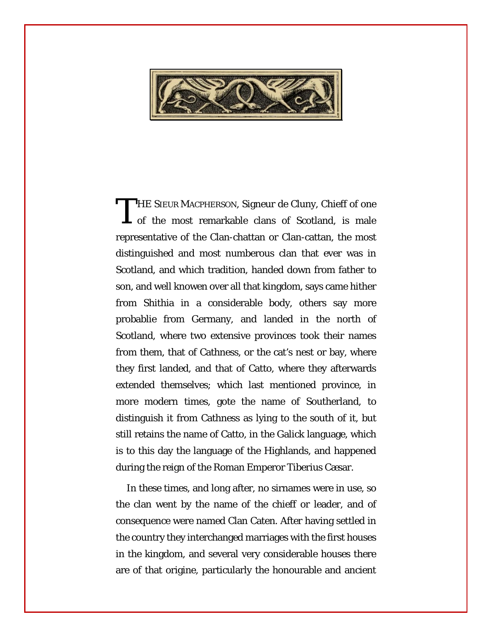

**THE SIEUR MACPHERSON, Signeur de Cluny, Chieff of one** THE SIEUR MACPHERSON, Signeur de Cluny, Chieff of one<br>of the most remarkable clans of Scotland, is male representative of the Clan-chattan or Clan-cattan, the most distinguished and most numberous clan that ever was in Scotland, and which tradition, handed down from father to son, and well knowen over all that kingdom, says came hither from Shithia in a considerable body, others say more probablie from Germany, and landed in the north of Scotland, where two extensive provinces took their names from them, that of Cathness, or the cat's nest or bay, where they first landed, and that of Catto, where they afterwards extended themselves; which last mentioned province, in more modern times, gote the name of Southerland, to distinguish it from Cathness as lying to the south of it, but still retains the name of Catto, in the Galick language, which is to this day the language of the Highlands, and happened during the reign of the Roman Emperor Tiberius Cæsar.

In these times, and long after, no sirnames were in use, so the clan went by the name of the chieff or leader, and of consequence were named Clan Caten. After having settled in the country they interchanged marriages with the first houses in the kingdom, and several very considerable houses there are of that origine, particularly the honourable and ancient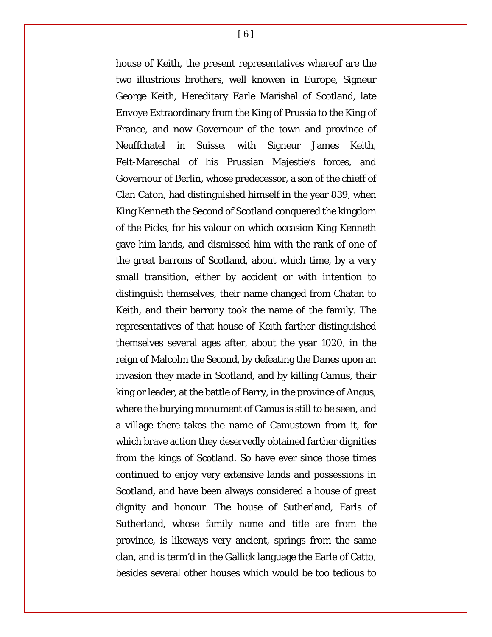house of Keith, the present representatives whereof are the two illustrious brothers, well knowen in Europe, Signeur George Keith, Hereditary Earle Marishal of Scotland, late Envoye Extraordinary from the King of Prussia to the King of France, and now Governour of the town and province of Neuffchatel in Suisse, with Signeur James Keith, Felt-Mareschal of his Prussian Majestie's forces, and Governour of Berlin, whose predecessor, a son of the chieff of Clan Caton, had distinguished himself in the year 839, when King Kenneth the Second of Scotland conquered the kingdom of the Picks, for his valour on which occasion King Kenneth gave him lands, and dismissed him with the rank of one of the great barrons of Scotland, about which time, by a very small transition, either by accident or with intention to distinguish themselves, their name changed from Chatan to Keith, and their barrony took the name of the family. The representatives of that house of Keith farther distinguished themselves several ages after, about the year 1020, in the reign of Malcolm the Second, by defeating the Danes upon an invasion they made in Scotland, and by killing Camus, their king or leader, at the battle of Barry, in the province of Angus, where the burying monument of Camus is still to be seen, and a village there takes the name of Camustown from it, for which brave action they deservedly obtained farther dignities from the kings of Scotland. So have ever since those times continued to enjoy very extensive lands and possessions in Scotland, and have been always considered a house of great dignity and honour. The house of Sutherland, Earls of Sutherland, whose family name and title are from the province, is likeways very ancient, springs from the same clan, and is term'd in the Gallick language the Earle of Catto, besides several other houses which would be too tedious to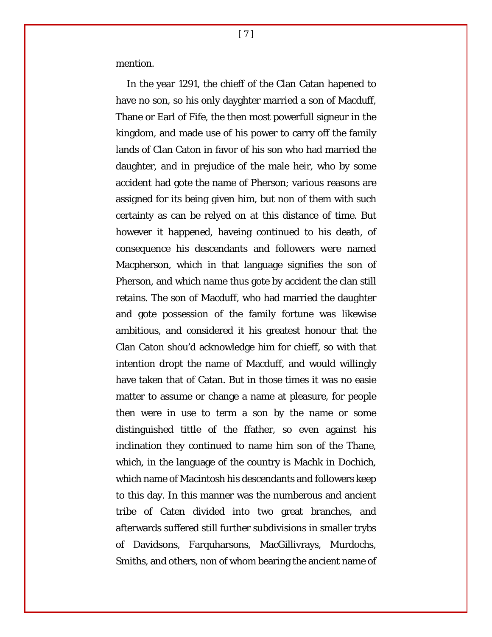mention.

In the year 1291, the chieff of the Clan Catan hapened to have no son, so his only dayghter married a son of Macduff, Thane or Earl of Fife, the then most powerfull signeur in the kingdom, and made use of his power to carry off the family lands of Clan Caton in favor of his son who had married the daughter, and in prejudice of the male heir, who by some accident had gote the name of Pherson; various reasons are assigned for its being given him, but non of them with such certainty as can be relyed on at this distance of time. But however it happened, haveing continued to his death, of consequence his descendants and followers were named Macpherson, which in that language signifies the son of Pherson, and which name thus gote by accident the clan still retains. The son of Macduff, who had married the daughter and gote possession of the family fortune was likewise ambitious, and considered it his greatest honour that the Clan Caton shou'd acknowledge him for chieff, so with that intention dropt the name of Macduff, and would willingly have taken that of Catan. But in those times it was no easie matter to assume or change a name at pleasure, for people then were in use to term a son by the name or some distinguished tittle of the ffather, so even against his inclination they continued to name him son of the Thane, which, in the language of the country is Machk in Dochich, which name of Macintosh his descendants and followers keep to this day. In this manner was the numberous and ancient tribe of Caten divided into two great branches, and afterwards suffered still further subdivisions in smaller trybs of Davidsons, Farquharsons, MacGillivrays, Murdochs, Smiths, and others, non of whom bearing the ancient name of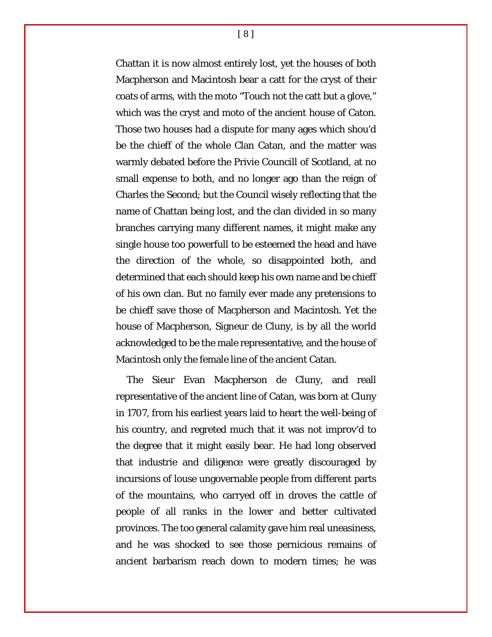Chattan it is now almost entirely lost, yet the houses of both Macpherson and Macintosh bear a catt for the cryst of their coats of arms, with the moto "Touch not the catt but a glove," which was the cryst and moto of the ancient house of Caton. Those two houses had a dispute for many ages which shou'd be the chieff of the whole Clan Catan, and the matter was warmly debated before the Privie Councill of Scotland, at no small expense to both, and no longer ago than the reign of Charles the Second; but the Council wisely reflecting that the name of Chattan being lost, and the clan divided in so many branches carrying many different names, it might make any single house too powerfull to be esteemed the head and have the direction of the whole, so disappointed both, and determined that each should keep his own name and be chieff of his own clan. But no family ever made any pretensions to be chieff save those of Macpherson and Macintosh. Yet the house of Macpherson, Signeur de Cluny, is by all the world acknowledged to be the male representative, and the house of Macintosh only the female line of the ancient Catan.

The Sieur Evan Macpherson de Cluny, and reall representative of the ancient line of Catan, was born at Cluny in 1707, from his earliest years laid to heart the well-being of his country, and regreted much that it was not improv'd to the degree that it might easily bear. He had long observed that industrie and diligence were greatly discouraged by incursions of louse ungovernable people from different parts of the mountains, who carryed off in droves the cattle of people of all ranks in the lower and better cultivated provinces. The too general calamity gave him real uneasiness, and he was shocked to see those pernicious remains of ancient barbarism reach down to modern times; he was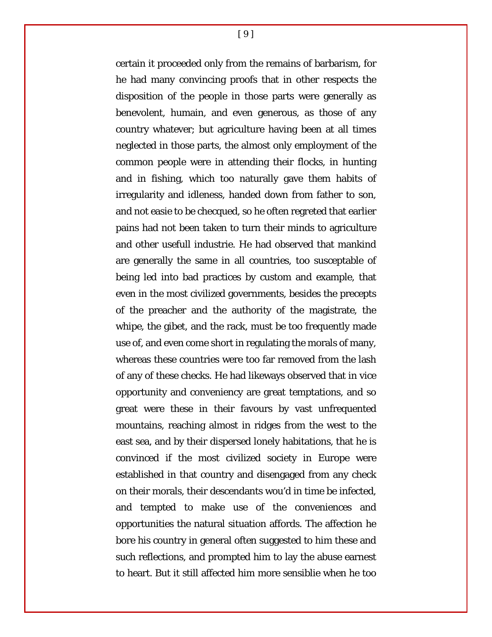certain it proceeded only from the remains of barbarism, for he had many convincing proofs that in other respects the disposition of the people in those parts were generally as benevolent, humain, and even generous, as those of any country whatever; but agriculture having been at all times neglected in those parts, the almost only employment of the common people were in attending their flocks, in hunting and in fishing, which too naturally gave them habits of irregularity and idleness, handed down from father to son, and not easie to be checqued, so he often regreted that earlier pains had not been taken to turn their minds to agriculture and other usefull industrie. He had observed that mankind are generally the same in all countries, too susceptable of being led into bad practices by custom and example, that even in the most civilized governments, besides the precepts of the preacher and the authority of the magistrate, the whipe, the gibet, and the rack, must be too frequently made use of, and even come short in regulating the morals of many, whereas these countries were too far removed from the lash of any of these checks. He had likeways observed that in vice opportunity and conveniency are great temptations, and so great were these in their favours by vast unfrequented mountains, reaching almost in ridges from the west to the east sea, and by their dispersed lonely habitations, that he is convinced if the most civilized society in Europe were established in that country and disengaged from any check on their morals, their descendants wou'd in time be infected, and tempted to make use of the conveniences and opportunities the natural situation affords. The affection he bore his country in general often suggested to him these and such reflections, and prompted him to lay the abuse earnest to heart. But it still affected him more sensiblie when he too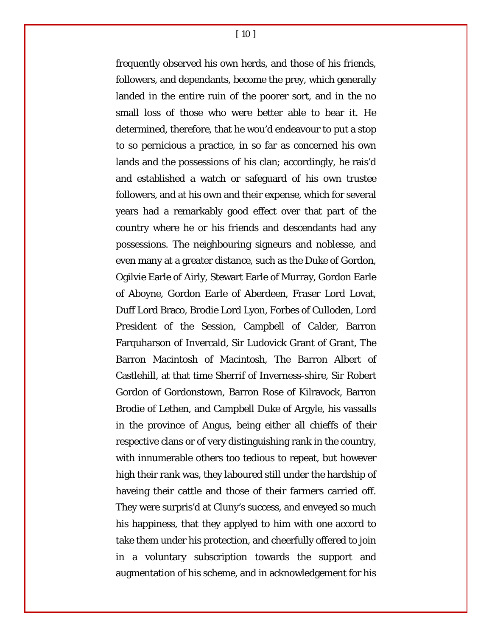[ 10 ]

frequently observed his own herds, and those of his friends, followers, and dependants, become the prey, which generally landed in the entire ruin of the poorer sort, and in the no small loss of those who were better able to bear it. He determined, therefore, that he wou'd endeavour to put a stop to so pernicious a practice, in so far as concerned his own lands and the possessions of his clan; accordingly, he rais'd and established a watch or safeguard of his own trustee followers, and at his own and their expense, which for several years had a remarkably good effect over that part of the country where he or his friends and descendants had any possessions. The neighbouring signeurs and noblesse, and even many at a greater distance, such as the Duke of Gordon, Ogilvie Earle of Airly, Stewart Earle of Murray, Gordon Earle of Aboyne, Gordon Earle of Aberdeen, Fraser Lord Lovat, Duff Lord Braco, Brodie Lord Lyon, Forbes of Culloden, Lord President of the Session, Campbell of Calder, Barron Farquharson of Invercald, Sir Ludovick Grant of Grant, The Barron Macintosh of Macintosh, The Barron Albert of Castlehill, at that time Sherrif of Inverness-shire, Sir Robert Gordon of Gordonstown, Barron Rose of Kilravock, Barron Brodie of Lethen, and Campbell Duke of Argyle, his vassalls in the province of Angus, being either all chieffs of their respective clans or of very distinguishing rank in the country, with innumerable others too tedious to repeat, but however high their rank was, they laboured still under the hardship of haveing their cattle and those of their farmers carried off. They were surpris'd at Cluny's success, and enveyed so much his happiness, that they applyed to him with one accord to take them under his protection, and cheerfully offered to join in a voluntary subscription towards the support and augmentation of his scheme, and in acknowledgement for his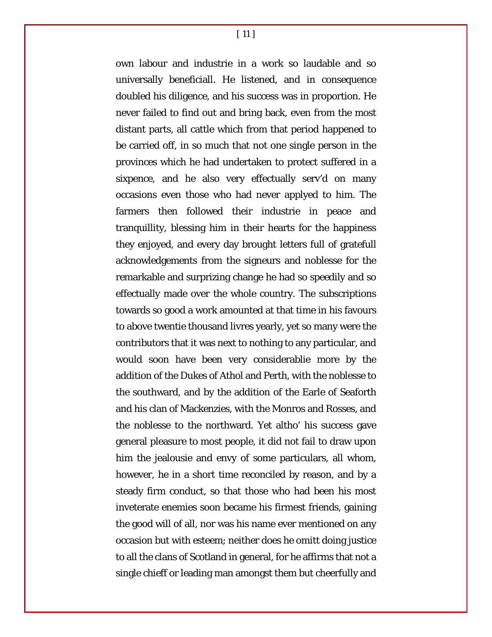own labour and industrie in a work so laudable and so universally beneficiall. He listened, and in consequence doubled his diligence, and his success was in proportion. He never failed to find out and bring back, even from the most distant parts, all cattle which from that period happened to be carried off, in so much that not one single person in the provinces which he had undertaken to protect suffered in a sixpence, and he also very effectually serv'd on many occasions even those who had never applyed to him. The farmers then followed their industrie in peace and tranquillity, blessing him in their hearts for the happiness they enjoyed, and every day brought letters full of gratefull acknowledgements from the signeurs and noblesse for the remarkable and surprizing change he had so speedily and so effectually made over the whole country. The subscriptions towards so good a work amounted at that time in his favours to above twentie thousand livres yearly, yet so many were the contributors that it was next to nothing to any particular, and would soon have been very considerablie more by the addition of the Dukes of Athol and Perth, with the noblesse to the southward, and by the addition of the Earle of Seaforth and his clan of Mackenzies, with the Monros and Rosses, and the noblesse to the northward. Yet altho' his success gave general pleasure to most people, it did not fail to draw upon him the jealousie and envy of some particulars, all whom, however, he in a short time reconciled by reason, and by a steady firm conduct, so that those who had been his most inveterate enemies soon became his firmest friends, gaining the good will of all, nor was his name ever mentioned on any occasion but with esteem; neither does he omitt doing justice to all the clans of Scotland in general, for he affirms that not a single chieff or leading man amongst them but cheerfully and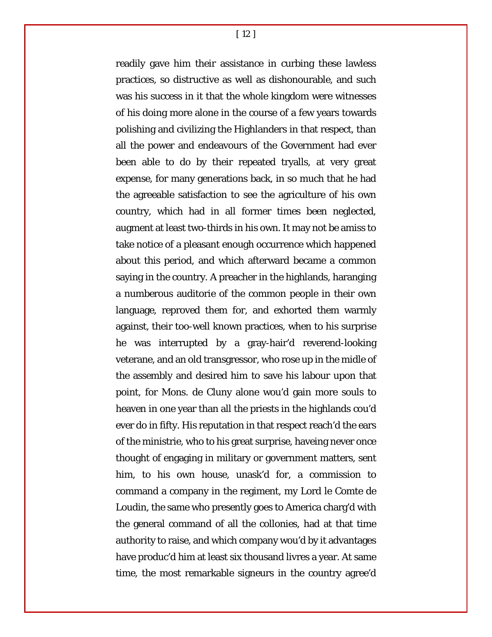[ 12 ]

readily gave him their assistance in curbing these lawless practices, so distructive as well as dishonourable, and such was his success in it that the whole kingdom were witnesses of his doing more alone in the course of a few years towards polishing and civilizing the Highlanders in that respect, than all the power and endeavours of the Government had ever been able to do by their repeated tryalls, at very great expense, for many generations back, in so much that he had the agreeable satisfaction to see the agriculture of his own country, which had in all former times been neglected, augment at least two-thirds in his own. It may not be amiss to take notice of a pleasant enough occurrence which happened about this period, and which afterward became a common saying in the country. A preacher in the highlands, haranging a numberous auditorie of the common people in their own language, reproved them for, and exhorted them warmly against, their too-well known practices, when to his surprise he was interrupted by a gray-hair'd reverend-looking veterane, and an old transgressor, who rose up in the midle of the assembly and desired him to save his labour upon that point, for Mons. de Cluny alone wou'd gain more souls to heaven in one year than all the priests in the highlands cou'd ever do in fifty. His reputation in that respect reach'd the ears of the ministrie, who to his great surprise, haveing never once thought of engaging in military or government matters, sent him, to his own house, unask'd for, a commission to command a company in the regiment, my Lord le Comte de Loudin, the same who presently goes to America charg'd with the general command of all the collonies, had at that time authority to raise, and which company wou'd by it advantages have produc'd him at least six thousand livres a year. At same time, the most remarkable signeurs in the country agree'd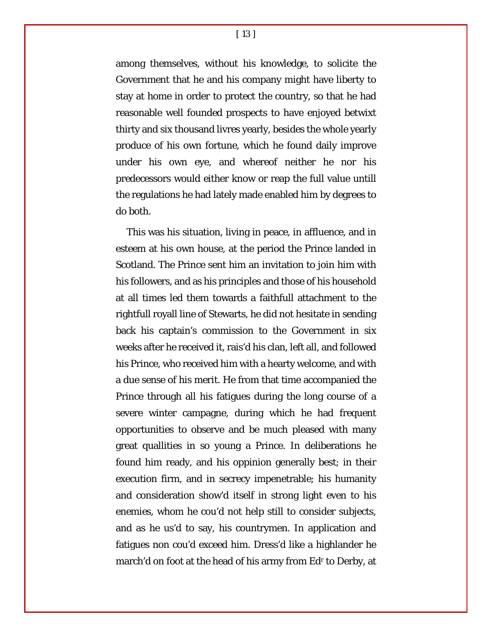[ 13 ]

among themselves, without his knowledge, to solicite the Government that he and his company might have liberty to stay at home in order to protect the country, so that he had reasonable well founded prospects to have enjoyed betwixt thirty and six thousand livres yearly, besides the whole yearly produce of his own fortune, which he found daily improve under his own eye, and whereof neither he nor his predecessors would either know or reap the full value untill the regulations he had lately made enabled him by degrees to do both.

This was his situation, living in peace, in affluence, and in esteem at his own house, at the period the Prince landed in Scotland. The Prince sent him an invitation to join him with his followers, and as his principles and those of his household at all times led them towards a faithfull attachment to the rightfull royall line of Stewarts, he did not hesitate in sending back his captain's commission to the Government in six weeks after he received it, rais'd his clan, left all, and followed his Prince, who received him with a hearty welcome, and with a due sense of his merit. He from that time accompanied the Prince through all his fatigues during the long course of a severe winter campagne, during which he had frequent opportunities to observe and be much pleased with many great quallities in so young a Prince. In deliberations he found him ready, and his oppinion generally best; in their execution firm, and in secrecy impenetrable; his humanity and consideration show'd itself in strong light even to his enemies, whom he cou'd not help still to consider subjects, and as he us'd to say, his countrymen. In application and fatigues non cou'd exceed him. Dress'd like a highlander he march'd on foot at the head of his army from Ed<sup>r</sup> to Derby, at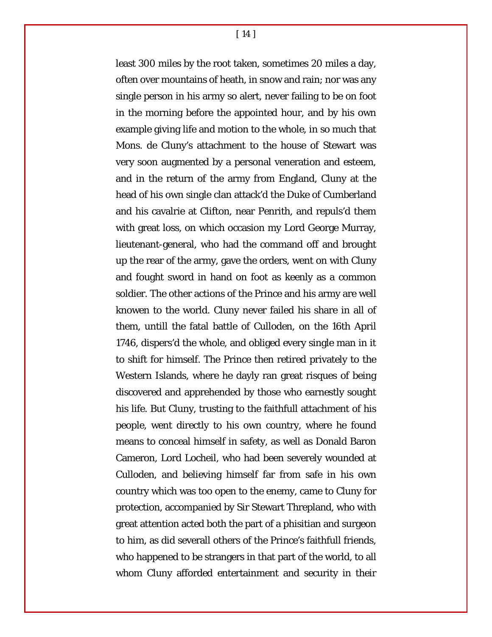[ 14 ]

least 300 miles by the root taken, sometimes 20 miles a day, often over mountains of heath, in snow and rain; nor was any single person in his army so alert, never failing to be on foot in the morning before the appointed hour, and by his own example giving life and motion to the whole, in so much that Mons. de Cluny's attachment to the house of Stewart was very soon augmented by a personal veneration and esteem, and in the return of the army from England, Cluny at the head of his own single clan attack'd the Duke of Cumberland and his cavalrie at Clifton, near Penrith, and repuls'd them with great loss, on which occasion my Lord George Murray, lieutenant-general, who had the command off and brought up the rear of the army, gave the orders, went on with Cluny and fought sword in hand on foot as keenly as a common soldier. The other actions of the Prince and his army are well knowen to the world. Cluny never failed his share in all of them, untill the fatal battle of Culloden, on the 16th April 1746, dispers'd the whole, and obliged every single man in it to shift for himself. The Prince then retired privately to the Western Islands, where he dayly ran great risques of being discovered and apprehended by those who earnestly sought his life. But Cluny, trusting to the faithfull attachment of his people, went directly to his own country, where he found means to conceal himself in safety, as well as Donald Baron Cameron, Lord Locheil, who had been severely wounded at Culloden, and believing himself far from safe in his own country which was too open to the enemy, came to Cluny for protection, accompanied by Sir Stewart Threpland, who with great attention acted both the part of a phisitian and surgeon to him, as did severall others of the Prince's faithfull friends, who happened to be strangers in that part of the world, to all whom Cluny afforded entertainment and security in their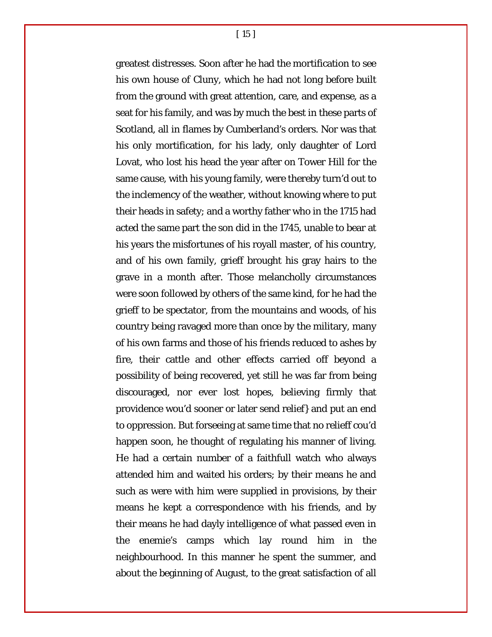[ 15 ]

greatest distresses. Soon after he had the mortification to see his own house of Cluny, which he had not long before built from the ground with great attention, care, and expense, as a seat for his family, and was by much the best in these parts of Scotland, all in flames by Cumberland's orders. Nor was that his only mortification, for his lady, only daughter of Lord Lovat, who lost his head the year after on Tower Hill for the same cause, with his young family, were thereby turn'd out to the inclemency of the weather, without knowing where to put their heads in safety; and a worthy father who in the 1715 had acted the same part the son did in the 1745, unable to bear at his years the misfortunes of his royall master, of his country, and of his own family, grieff brought his gray hairs to the grave in a month after. Those melancholly circumstances were soon followed by others of the same kind, for he had the grieff to be spectator, from the mountains and woods, of his country being ravaged more than once by the military, many of his own farms and those of his friends reduced to ashes by fire, their cattle and other effects carried off beyond a possibility of being recovered, yet still he was far from being discouraged, nor ever lost hopes, believing firmly that providence wou'd sooner or later send relief} and put an end to oppression. But forseeing at same time that no relieff cou'd happen soon, he thought of regulating his manner of living. He had a certain number of a faithfull watch who always attended him and waited his orders; by their means he and such as were with him were supplied in provisions, by their means he kept a correspondence with his friends, and by their means he had dayly intelligence of what passed even in the enemie's camps which lay round him in the neighbourhood. In this manner he spent the summer, and about the beginning of August, to the great satisfaction of all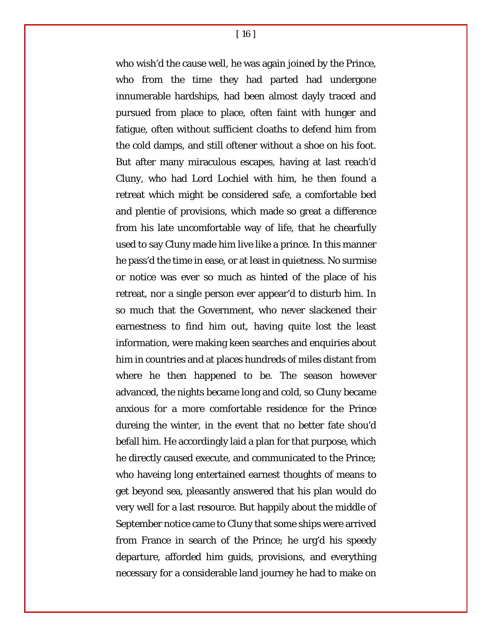[ 16 ]

who wish'd the cause well, he was again joined by the Prince, who from the time they had parted had undergone innumerable hardships, had been almost dayly traced and pursued from place to place, often faint with hunger and fatigue, often without sufficient cloaths to defend him from the cold damps, and still oftener without a shoe on his foot. But after many miraculous escapes, having at last reach'd Cluny, who had Lord Lochiel with him, he then found a retreat which might be considered safe, a comfortable bed and plentie of provisions, which made so great a difference from his late uncomfortable way of life, that he chearfully used to say Cluny made him live like a prince. In this manner he pass'd the time in ease, or at least in quietness. No surmise or notice was ever so much as hinted of the place of his retreat, nor a single person ever appear'd to disturb him. In so much that the Government, who never slackened their earnestness to find him out, having quite lost the least information, were making keen searches and enquiries about him in countries and at places hundreds of miles distant from where he then happened to be. The season however advanced, the nights became long and cold, so Cluny became anxious for a more comfortable residence for the Prince dureing the winter, in the event that no better fate shou'd befall him. He accordingly laid a plan for that purpose, which he directly caused execute, and communicated to the Prince; who haveing long entertained earnest thoughts of means to get beyond sea, pleasantly answered that his plan would do very well for a last resource. But happily about the middle of September notice came to Cluny that some ships were arrived from France in search of the Prince; he urg'd his speedy departure, afforded him guids, provisions, and everything necessary for a considerable land journey he had to make on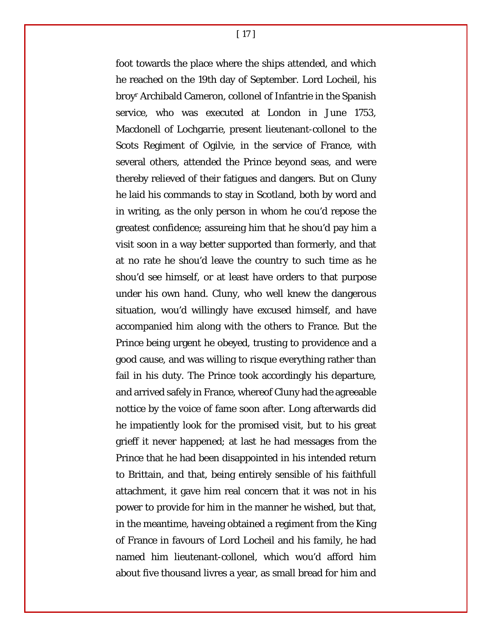[ 17 ]

foot towards the place where the ships attended, and which he reached on the 19th day of September. Lord Locheil, his broyr Archibald Cameron, collonel of Infantrie in the Spanish service, who was executed at London in June 1753, Macdonell of Lochgarrie, present lieutenant-collonel to the Scots Regiment of Ogilvie, in the service of France, with several others, attended the Prince beyond seas, and were thereby relieved of their fatigues and dangers. But on Cluny he laid his commands to stay in Scotland, both by word and in writing, as the only person in whom he cou'd repose the greatest confidence; assureing him that he shou'd pay him a visit soon in a way better supported than formerly, and that at no rate he shou'd leave the country to such time as he shou'd see himself, or at least have orders to that purpose under his own hand. Cluny, who well knew the dangerous situation, wou'd willingly have excused himself, and have accompanied him along with the others to France. But the Prince being urgent he obeyed, trusting to providence and a good cause, and was willing to risque everything rather than fail in his duty. The Prince took accordingly his departure, and arrived safely in France, whereof Cluny had the agreeable nottice by the voice of fame soon after. Long afterwards did he impatiently look for the promised visit, but to his great grieff it never happened; at last he had messages from the Prince that he had been disappointed in his intended return to Brittain, and that, being entirely sensible of his faithfull attachment, it gave him real concern that it was not in his power to provide for him in the manner he wished, but that, in the meantime, haveing obtained a regiment from the King of France in favours of Lord Locheil and his family, he had named him lieutenant-collonel, which wou'd afford him about five thousand livres a year, as small bread for him and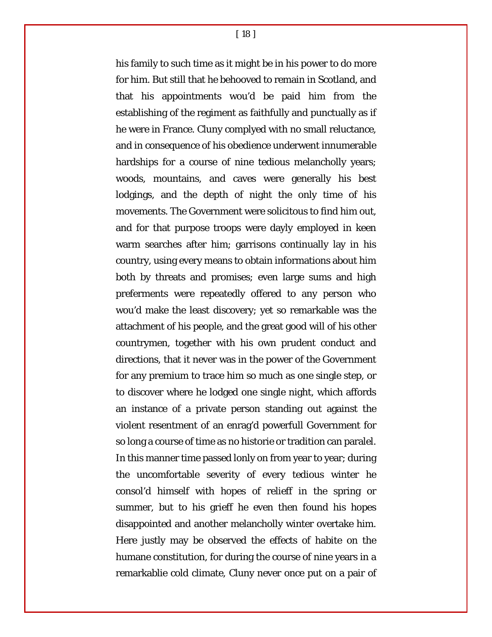[ 18 ]

his family to such time as it might be in his power to do more for him. But still that he behooved to remain in Scotland, and that his appointments wou'd be paid him from the establishing of the regiment as faithfully and punctually as if he were in France. Cluny complyed with no small reluctance, and in consequence of his obedience underwent innumerable hardships for a course of nine tedious melancholly years; woods, mountains, and caves were generally his best lodgings, and the depth of night the only time of his movements. The Government were solicitous to find him out, and for that purpose troops were dayly employed in keen warm searches after him; garrisons continually lay in his country, using every means to obtain informations about him both by threats and promises; even large sums and high preferments were repeatedly offered to any person who wou'd make the least discovery; yet so remarkable was the attachment of his people, and the great good will of his other countrymen, together with his own prudent conduct and directions, that it never was in the power of the Government for any premium to trace him so much as one single step, or to discover where he lodged one single night, which affords an instance of a private person standing out against the violent resentment of an enrag'd powerfull Government for so long a course of time as no historie or tradition can paralel. In this manner time passed lonly on from year to year; during the uncomfortable severity of every tedious winter he consol'd himself with hopes of relieff in the spring or summer, but to his grieff he even then found his hopes disappointed and another melancholly winter overtake him. Here justly may be observed the effects of habite on the humane constitution, for during the course of nine years in a remarkablie cold climate, Cluny never once put on a pair of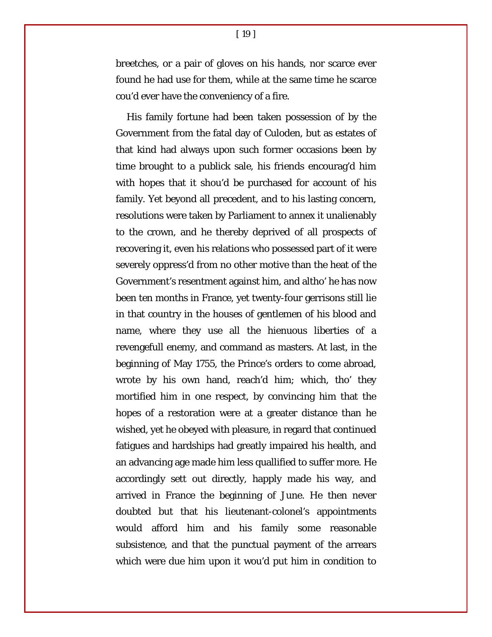breetches, or a pair of gloves on his hands, nor scarce ever found he had use for them, while at the same time he scarce cou'd ever have the conveniency of a fire.

His family fortune had been taken possession of by the Government from the fatal day of Culoden, but as estates of that kind had always upon such former occasions been by time brought to a publick sale, his friends encourag'd him with hopes that it shou'd be purchased for account of his family. Yet beyond all precedent, and to his lasting concern, resolutions were taken by Parliament to annex it unalienably to the crown, and he thereby deprived of all prospects of recovering it, even his relations who possessed part of it were severely oppress'd from no other motive than the heat of the Government's resentment against him, and altho' he has now been ten months in France, yet twenty-four gerrisons still lie in that country in the houses of gentlemen of his blood and name, where they use all the hienuous liberties of a revengefull enemy, and command as masters. At last, in the beginning of May 1755, the Prince's orders to come abroad, wrote by his own hand, reach'd him; which, tho' they mortified him in one respect, by convincing him that the hopes of a restoration were at a greater distance than he wished, yet he obeyed with pleasure, in regard that continued fatigues and hardships had greatly impaired his health, and an advancing age made him less quallified to suffer more. He accordingly sett out directly, happly made his way, and arrived in France the beginning of June. He then never doubted but that his lieutenant-colonel's appointments would afford him and his family some reasonable subsistence, and that the punctual payment of the arrears which were due him upon it wou'd put him in condition to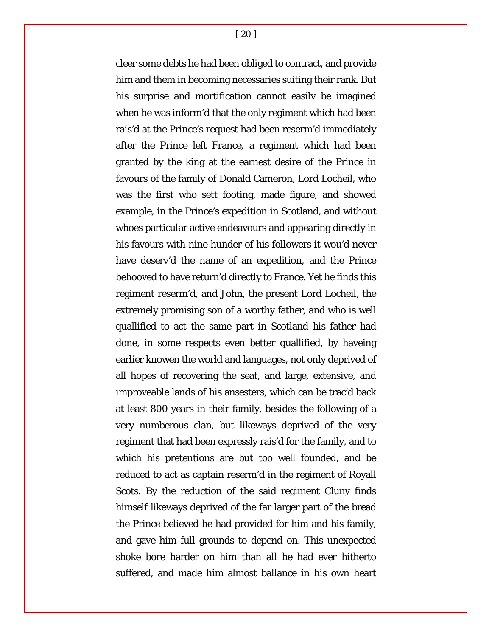[ 20 ]

cleer some debts he had been obliged to contract, and provide him and them in becoming necessaries suiting their rank. But his surprise and mortification cannot easily be imagined when he was inform'd that the only regiment which had been rais'd at the Prince's request had been reserm'd immediately after the Prince left France, a regiment which had been granted by the king at the earnest desire of the Prince in favours of the family of Donald Cameron, Lord Locheil, who was the first who sett footing, made figure, and showed example, in the Prince's expedition in Scotland, and without whoes particular active endeavours and appearing directly in his favours with nine hunder of his followers it wou'd never have deserv'd the name of an expedition, and the Prince behooved to have return'd directly to France. Yet he finds this regiment reserm'd, and John, the present Lord Locheil, the extremely promising son of a worthy father, and who is well quallified to act the same part in Scotland his father had done, in some respects even better quallified, by haveing earlier knowen the world and languages, not only deprived of all hopes of recovering the seat, and large, extensive, and improveable lands of his ansesters, which can be trac'd back at least 800 years in their family, besides the following of a very numberous clan, but likeways deprived of the very regiment that had been expressly rais'd for the family, and to which his pretentions are but too well founded, and be reduced to act as captain reserm'd in the regiment of Royall Scots. By the reduction of the said regiment Cluny finds himself likeways deprived of the far larger part of the bread the Prince believed he had provided for him and his family, and gave him full grounds to depend on. This unexpected shoke bore harder on him than all he had ever hitherto suffered, and made him almost ballance in his own heart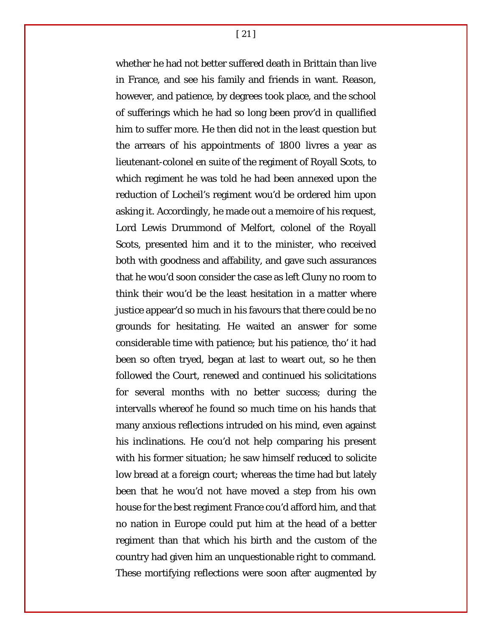[ 21 ]

whether he had not better suffered death in Brittain than live in France, and see his family and friends in want. Reason, however, and patience, by degrees took place, and the school of sufferings which he had so long been prov'd in quallified him to suffer more. He then did not in the least question but the arrears of his appointments of 1800 livres a year as lieutenant-colonel en suite of the regiment of Royall Scots, to which regiment he was told he had been annexed upon the reduction of Locheil's regiment wou'd be ordered him upon asking it. Accordingly, he made out a memoire of his request, Lord Lewis Drummond of Melfort, colonel of the Royall Scots, presented him and it to the minister, who received both with goodness and affability, and gave such assurances that he wou'd soon consider the case as left Cluny no room to think their wou'd be the least hesitation in a matter where justice appear'd so much in his favours that there could be no grounds for hesitating. He waited an answer for some considerable time with patience; but his patience, tho' it had been so often tryed, began at last to weart out, so he then followed the Court, renewed and continued his solicitations for several months with no better success; during the intervalls whereof he found so much time on his hands that many anxious reflections intruded on his mind, even against his inclinations. He cou'd not help comparing his present with his former situation; he saw himself reduced to solicite low bread at a foreign court; whereas the time had but lately been that he wou'd not have moved a step from his own house for the best regiment France cou'd afford him, and that no nation in Europe could put him at the head of a better regiment than that which his birth and the custom of the country had given him an unquestionable right to command. These mortifying reflections were soon after augmented by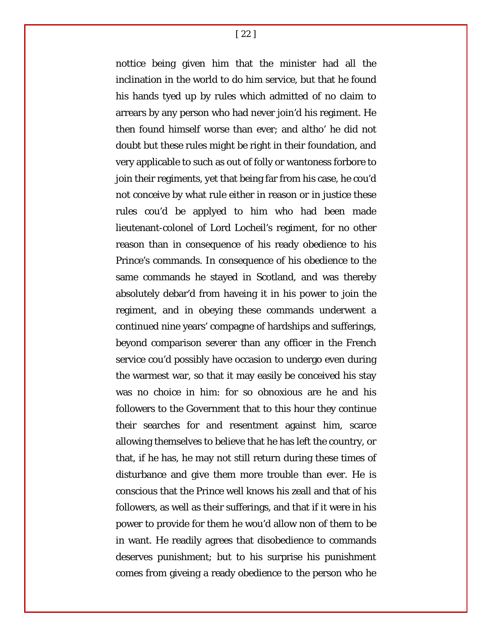[ 22 ]

nottice being given him that the minister had all the inclination in the world to do him service, but that he found his hands tyed up by rules which admitted of no claim to arrears by any person who had never join'd his regiment. He then found himself worse than ever; and altho' he did not doubt but these rules might be right in their foundation, and very applicable to such as out of folly or wantoness forbore to join their regiments, yet that being far from his case, he cou'd not conceive by what rule either in reason or in justice these rules cou'd be applyed to him who had been made lieutenant-colonel of Lord Locheil's regiment, for no other reason than in consequence of his ready obedience to his Prince's commands. In consequence of his obedience to the same commands he stayed in Scotland, and was thereby absolutely debar'd from haveing it in his power to join the regiment, and in obeying these commands underwent a continued nine years' compagne of hardships and sufferings, beyond comparison severer than any officer in the French service cou'd possibly have occasion to undergo even during the warmest war, so that it may easily be conceived his stay was no choice in him: for so obnoxious are he and his followers to the Government that to this hour they continue their searches for and resentment against him, scarce allowing themselves to believe that he has left the country, or that, if he has, he may not still return during these times of disturbance and give them more trouble than ever. He is conscious that the Prince well knows his zeall and that of his followers, as well as their sufferings, and that if it were in his power to provide for them he wou'd allow non of them to be in want. He readily agrees that disobedience to commands deserves punishment; but to his surprise his punishment comes from giveing a ready obedience to the person who he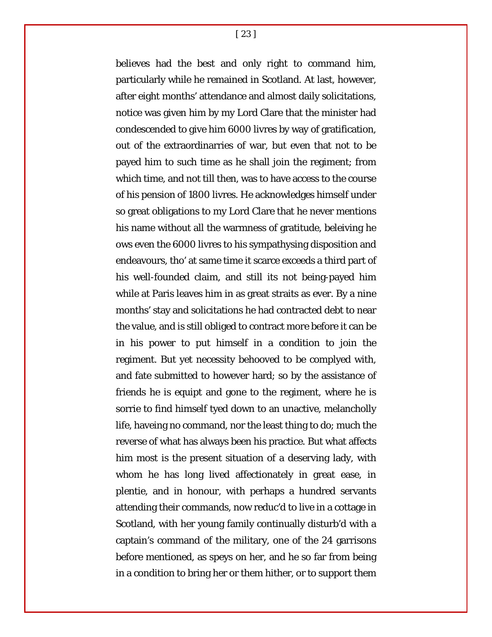[ 23 ]

believes had the best and only right to command him, particularly while he remained in Scotland. At last, however, after eight months' attendance and almost daily solicitations, notice was given him by my Lord Clare that the minister had condescended to give him 6000 livres by way of gratification, out of the extraordinarries of war, but even that not to be payed him to such time as he shall join the regiment; from which time, and not till then, was to have access to the course of his pension of 1800 livres. He acknowledges himself under so great obligations to my Lord Clare that he never mentions his name without all the warmness of gratitude, beleiving he ows even the 6000 livres to his sympathysing disposition and endeavours, tho' at same time it scarce exceeds a third part of his well-founded claim, and still its not being-payed him while at Paris leaves him in as great straits as ever. By a nine months' stay and solicitations he had contracted debt to near the value, and is still obliged to contract more before it can be in his power to put himself in a condition to join the regiment. But yet necessity behooved to be complyed with, and fate submitted to however hard; so by the assistance of friends he is equipt and gone to the regiment, where he is sorrie to find himself tyed down to an unactive, melancholly life, haveing no command, nor the least thing to do; much the reverse of what has always been his practice. But what affects him most is the present situation of a deserving lady, with whom he has long lived affectionately in great ease, in plentie, and in honour, with perhaps a hundred servants attending their commands, now reduc'd to live in a cottage in Scotland, with her young family continually disturb'd with a captain's command of the military, one of the 24 garrisons before mentioned, as speys on her, and he so far from being in a condition to bring her or them hither, or to support them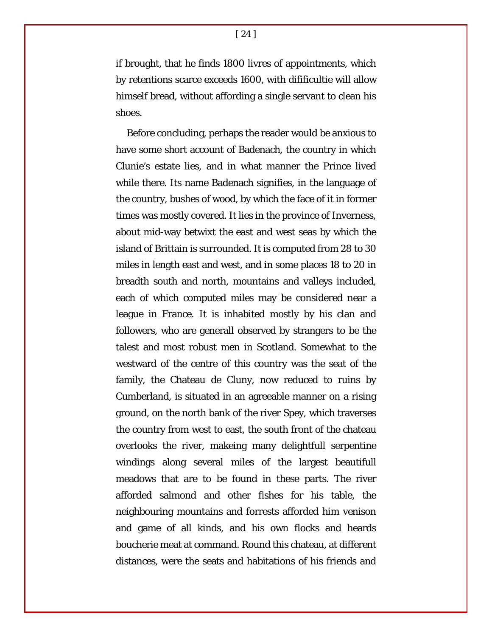if brought, that he finds 1800 livres of appointments, which by retentions scarce exceeds 1600, with difificultie will allow himself bread, without affording a single servant to clean his shoes.

Before concluding, perhaps the reader would be anxious to have some short account of Badenach, the country in which Clunie's estate lies, and in what manner the Prince lived while there. Its name Badenach signifies, in the language of the country, bushes of wood, by which the face of it in former times was mostly covered. It lies in the province of Inverness, about mid-way betwixt the east and west seas by which the island of Brittain is surrounded. It is computed from 28 to 30 miles in length east and west, and in some places 18 to 20 in breadth south and north, mountains and valleys included, each of which computed miles may be considered near a league in France. It is inhabited mostly by his clan and followers, who are generall observed by strangers to be the talest and most robust men in Scotland. Somewhat to the westward of the centre of this country was the seat of the family, the Chateau de Cluny, now reduced to ruins by Cumberland, is situated in an agreeable manner on a rising ground, on the north bank of the river Spey, which traverses the country from west to east, the south front of the chateau overlooks the river, makeing many delightfull serpentine windings along several miles of the largest beautifull meadows that are to be found in these parts. The river afforded salmond and other fishes for his table, the neighbouring mountains and forrests afforded him venison and game of all kinds, and his own flocks and heards boucherie meat at command. Round this chateau, at different distances, were the seats and habitations of his friends and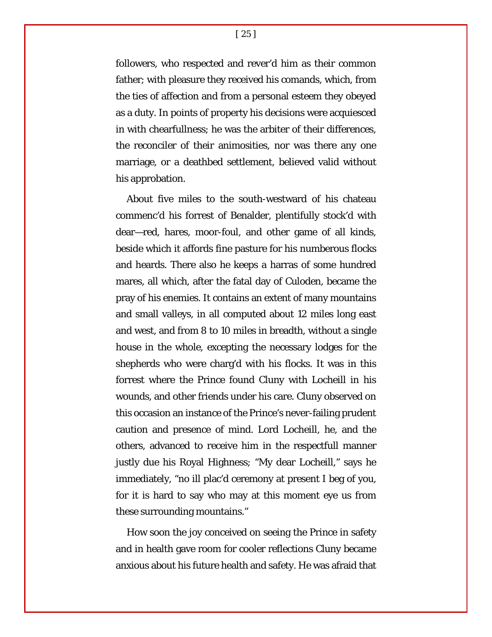[ 25 ]

followers, who respected and rever'd him as their common father; with pleasure they received his comands, which, from the ties of affection and from a personal esteem they obeyed as a duty. In points of property his decisions were acquiesced in with chearfullness; he was the arbiter of their differences, the reconciler of their animosities, nor was there any one marriage, or a deathbed settlement, believed valid without his approbation.

About five miles to the south-westward of his chateau commenc'd his forrest of Benalder, plentifully stock'd with dear—red, hares, moor-foul, and other game of all kinds, beside which it affords fine pasture for his numberous flocks and heards. There also he keeps a harras of some hundred mares, all which, after the fatal day of Culoden, became the pray of his enemies. It contains an extent of many mountains and small valleys, in all computed about 12 miles long east and west, and from 8 to 10 miles in breadth, without a single house in the whole, excepting the necessary lodges for the shepherds who were charg'd with his flocks. It was in this forrest where the Prince found Cluny with Locheill in his wounds, and other friends under his care. Cluny observed on this occasion an instance of the Prince's never-failing prudent caution and presence of mind. Lord Locheill, he, and the others, advanced to receive him in the respectfull manner justly due his Royal Highness; "My dear Locheill," says he immediately, "no ill plac'd ceremony at present I beg of you, for it is hard to say who may at this moment eye us from these surrounding mountains."

How soon the joy conceived on seeing the Prince in safety and in health gave room for cooler reflections Cluny became anxious about his future health and safety. He was afraid that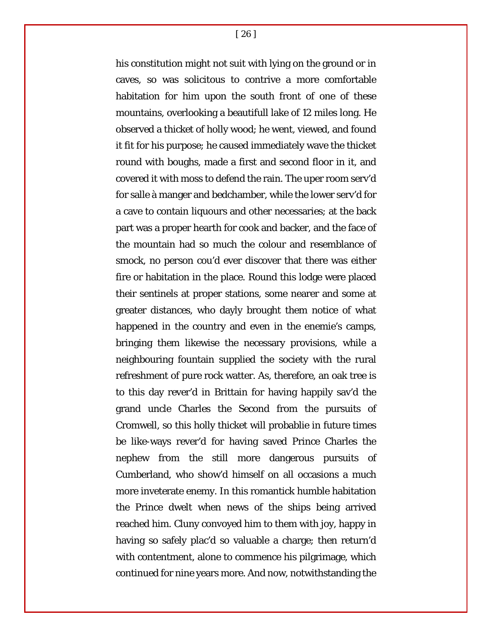[ 26 ]

his constitution might not suit with lying on the ground or in caves, so was solicitous to contrive a more comfortable habitation for him upon the south front of one of these mountains, overlooking a beautifull lake of 12 miles long. He observed a thicket of holly wood; he went, viewed, and found it fit for his purpose; he caused immediately wave the thicket round with boughs, made a first and second floor in it, and covered it with moss to defend the rain. The uper room serv'd for salle à manger and bedchamber, while the lower serv'd for a cave to contain liquours and other necessaries; at the back part was a proper hearth for cook and backer, and the face of the mountain had so much the colour and resemblance of smock, no person cou'd ever discover that there was either fire or habitation in the place. Round this lodge were placed their sentinels at proper stations, some nearer and some at greater distances, who dayly brought them notice of what happened in the country and even in the enemie's camps, bringing them likewise the necessary provisions, while a neighbouring fountain supplied the society with the rural refreshment of pure rock watter. As, therefore, an oak tree is to this day rever'd in Brittain for having happily sav'd the grand uncle Charles the Second from the pursuits of Cromwell, so this holly thicket will probablie in future times be like-ways rever'd for having saved Prince Charles the nephew from the still more dangerous pursuits of Cumberland, who show'd himself on all occasions a much more inveterate enemy. In this romantick humble habitation the Prince dwelt when news of the ships being arrived reached him. Cluny convoyed him to them with joy, happy in having so safely plac'd so valuable a charge; then return'd with contentment, alone to commence his pilgrimage, which continued for nine years more. And now, notwithstanding the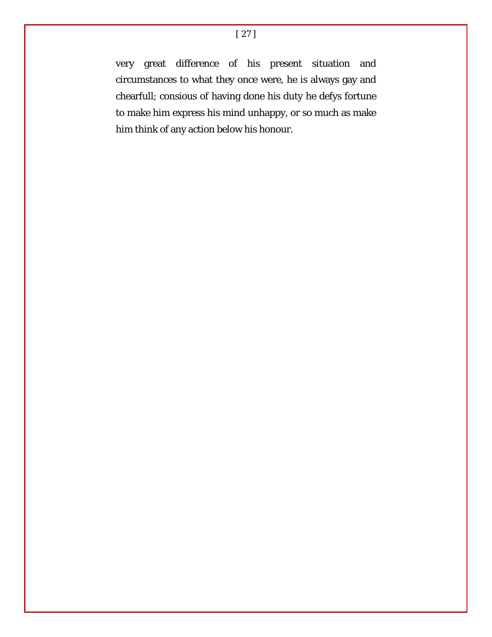very great difference of his present situation and circumstances to what they once were, he is always gay and chearfull; consious of having done his duty he defys fortune to make him express his mind unhappy, or so much as make him think of any action below his honour.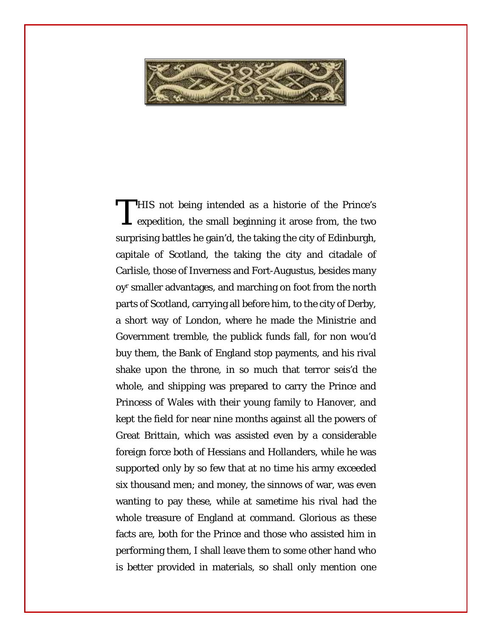

HIS not being intended as a historie of the Prince's THIS not being intended as a historie of the Prince's expedition, the small beginning it arose from, the two surprising battles he gain'd, the taking the city of Edinburgh, capitale of Scotland, the taking the city and citadale of Carlisle, those of Inverness and Fort-Augustus, besides many oyr smaller advantages, and marching on foot from the north parts of Scotland, carrying all before him, to the city of Derby, a short way of London, where he made the Ministrie and Government tremble, the publick funds fall, for non wou'd buy them, the Bank of England stop payments, and his rival shake upon the throne, in so much that terror seis'd the whole, and shipping was prepared to carry the Prince and Princess of Wales with their young family to Hanover, and kept the field for near nine months against all the powers of Great Brittain, which was assisted even by a considerable foreign force both of Hessians and Hollanders, while he was supported only by so few that at no time his army exceeded six thousand men; and money, the sinnows of war, was even wanting to pay these, while at sametime his rival had the whole treasure of England at command. Glorious as these facts are, both for the Prince and those who assisted him in performing them, I shall leave them to some other hand who is better provided in materials, so shall only mention one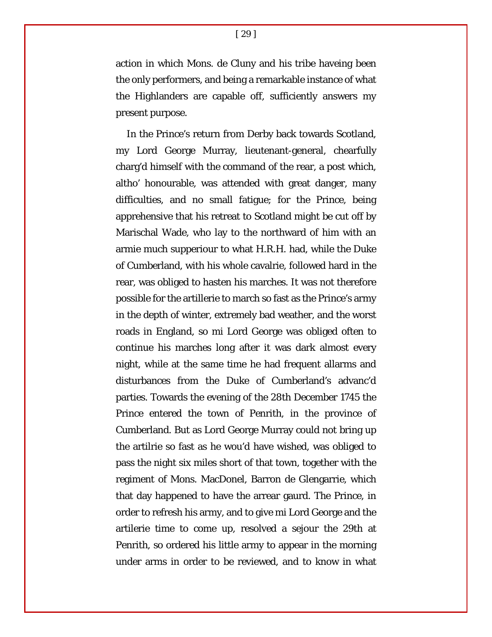action in which Mons. de Cluny and his tribe haveing been the only performers, and being a remarkable instance of what the Highlanders are capable off, sufficiently answers my present purpose.

In the Prince's return from Derby back towards Scotland, my Lord George Murray, lieutenant-general, chearfully charg'd himself with the command of the rear, a post which, altho' honourable, was attended with great danger, many difficulties, and no small fatigue; for the Prince, being apprehensive that his retreat to Scotland might be cut off by Marischal Wade, who lay to the northward of him with an armie much supperiour to what H.R.H. had, while the Duke of Cumberland, with his whole cavalrie, followed hard in the rear, was obliged to hasten his marches. It was not therefore possible for the artillerie to march so fast as the Prince's army in the depth of winter, extremely bad weather, and the worst roads in England, so mi Lord George was obliged often to continue his marches long after it was dark almost every night, while at the same time he had frequent allarms and disturbances from the Duke of Cumberland's advanc'd parties. Towards the evening of the 28th December 1745 the Prince entered the town of Penrith, in the province of Cumberland. But as Lord George Murray could not bring up the artilrie so fast as he wou'd have wished, was obliged to pass the night six miles short of that town, together with the regiment of Mons. MacDonel, Barron de Glengarrie, which that day happened to have the arrear gaurd. The Prince, in order to refresh his army, and to give mi Lord George and the artilerie time to come up, resolved a sejour the 29th at Penrith, so ordered his little army to appear in the morning under arms in order to be reviewed, and to know in what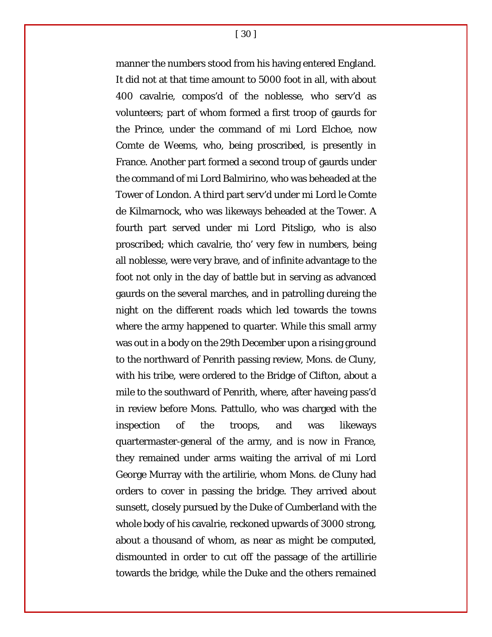[ 30 ]

manner the numbers stood from his having entered England. It did not at that time amount to 5000 foot in all, with about 400 cavalrie, compos'd of the noblesse, who serv'd as volunteers; part of whom formed a first troop of gaurds for the Prince, under the command of mi Lord Elchoe, now Comte de Weems, who, being proscribed, is presently in France. Another part formed a second troup of gaurds under the command of mi Lord Balmirino, who was beheaded at the Tower of London. A third part serv'd under mi Lord le Comte de Kilmarnock, who was likeways beheaded at the Tower. A fourth part served under mi Lord Pitsligo, who is also proscribed; which cavalrie, tho' very few in numbers, being all noblesse, were very brave, and of infinite advantage to the foot not only in the day of battle but in serving as advanced gaurds on the several marches, and in patrolling dureing the night on the different roads which led towards the towns where the army happened to quarter. While this small army was out in a body on the 29th December upon a rising ground to the northward of Penrith passing review, Mons. de Cluny, with his tribe, were ordered to the Bridge of Clifton, about a mile to the southward of Penrith, where, after haveing pass'd in review before Mons. Pattullo, who was charged with the inspection of the troops, and was likeways quartermaster-general of the army, and is now in France, they remained under arms waiting the arrival of mi Lord George Murray with the artilirie, whom Mons. de Cluny had orders to cover in passing the bridge. They arrived about sunsett, closely pursued by the Duke of Cumberland with the whole body of his cavalrie, reckoned upwards of 3000 strong, about a thousand of whom, as near as might be computed, dismounted in order to cut off the passage of the artillirie towards the bridge, while the Duke and the others remained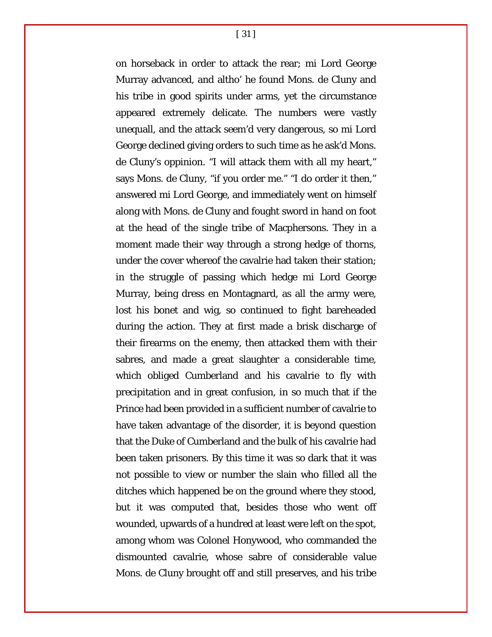[ 31 ]

on horseback in order to attack the rear; mi Lord George Murray advanced, and altho' he found Mons. de Cluny and his tribe in good spirits under arms, yet the circumstance appeared extremely delicate. The numbers were vastly unequall, and the attack seem'd very dangerous, so mi Lord George declined giving orders to such time as he ask'd Mons. de Cluny's oppinion. "I will attack them with all my heart," says Mons. de Cluny, "if you order me." "I do order it then," answered mi Lord George, and immediately went on himself along with Mons. de Cluny and fought sword in hand on foot at the head of the single tribe of Macphersons. They in a moment made their way through a strong hedge of thorns, under the cover whereof the cavalrie had taken their station; in the struggle of passing which hedge mi Lord George Murray, being dress en Montagnard, as all the army were, lost his bonet and wig, so continued to fight bareheaded during the action. They at first made a brisk discharge of their firearms on the enemy, then attacked them with their sabres, and made a great slaughter a considerable time, which obliged Cumberland and his cavalrie to fly with precipitation and in great confusion, in so much that if the Prince had been provided in a sufficient number of cavalrie to have taken advantage of the disorder, it is beyond question that the Duke of Cumberland and the bulk of his cavalrie had been taken prisoners. By this time it was so dark that it was not possible to view or number the slain who filled all the ditches which happened be on the ground where they stood, but it was computed that, besides those who went off wounded, upwards of a hundred at least were left on the spot, among whom was Colonel Honywood, who commanded the dismounted cavalrie, whose sabre of considerable value Mons. de Cluny brought off and still preserves, and his tribe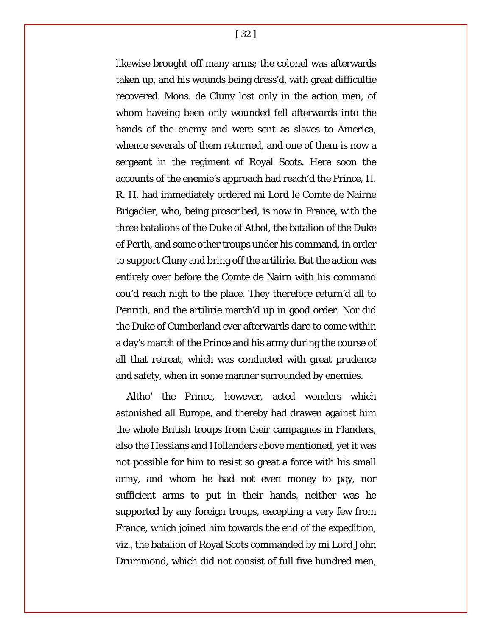[ 32 ]

likewise brought off many arms; the colonel was afterwards taken up, and his wounds being dress'd, with great difficultie recovered. Mons. de Cluny lost only in the action men, of whom haveing been only wounded fell afterwards into the hands of the enemy and were sent as slaves to America, whence severals of them returned, and one of them is now a sergeant in the regiment of Royal Scots. Here soon the accounts of the enemie's approach had reach'd the Prince, H. R. H. had immediately ordered mi Lord le Comte de Nairne Brigadier, who, being proscribed, is now in France, with the three batalions of the Duke of Athol, the batalion of the Duke of Perth, and some other troups under his command, in order to support Cluny and bring off the artilirie. But the action was entirely over before the Comte de Nairn with his command cou'd reach nigh to the place. They therefore return'd all to Penrith, and the artilirie march'd up in good order. Nor did the Duke of Cumberland ever afterwards dare to come within a day's march of the Prince and his army during the course of all that retreat, which was conducted with great prudence and safety, when in some manner surrounded by enemies.

Altho' the Prince, however, acted wonders which astonished all Europe, and thereby had drawen against him the whole British troups from their campagnes in Flanders, also the Hessians and Hollanders above mentioned, yet it was not possible for him to resist so great a force with his small army, and whom he had not even money to pay, nor sufficient arms to put in their hands, neither was he supported by any foreign troups, excepting a very few from France, which joined him towards the end of the expedition, viz., the batalion of Royal Scots commanded by mi Lord John Drummond, which did not consist of full five hundred men,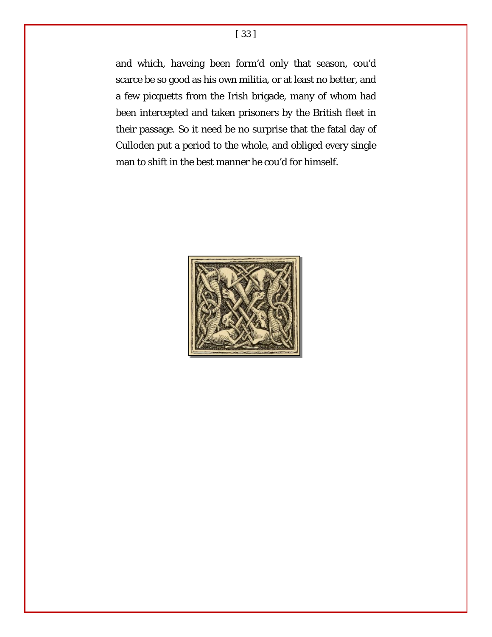and which, haveing been form'd only that season, cou'd scarce be so good as his own militia, or at least no better, and a few picquetts from the Irish brigade, many of whom had been intercepted and taken prisoners by the British fleet in their passage. So it need be no surprise that the fatal day of Culloden put a period to the whole, and obliged every single man to shift in the best manner he cou'd for himself.

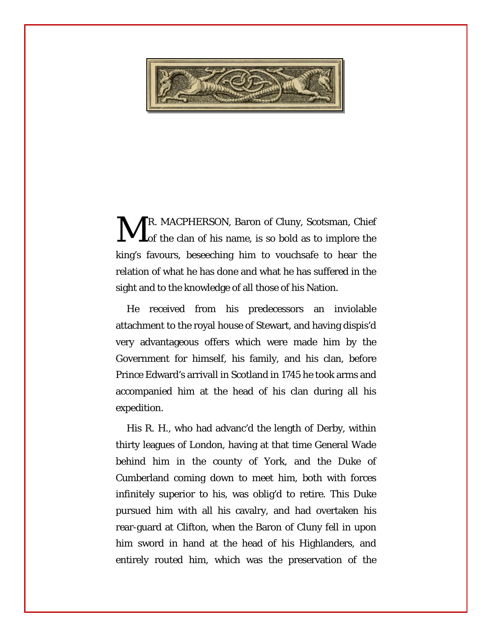

R. MACPHERSON, Baron of Cluny, Scotsman, Chief Lof the clan of his name, is so bold as to implore the king's favours, beseeching him to vouchsafe to hear the relation of what he has done and what he has suffered in the sight and to the knowledge of all those of his Nation. M

He received from his predecessors an inviolable attachment to the royal house of Stewart, and having dispis'd very advantageous offers which were made him by the Government for himself, his family, and his clan, before Prince Edward's arrivall in Scotland in 1745 he took arms and accompanied him at the head of his clan during all his expedition.

His R. H., who had advanc'd the length of Derby, within thirty leagues of London, having at that time General Wade behind him in the county of York, and the Duke of Cumberland coming down to meet him, both with forces infinitely superior to his, was oblig'd to retire. This Duke pursued him with all his cavalry, and had overtaken his rear-guard at Clifton, when the Baron of Cluny fell in upon him sword in hand at the head of his Highlanders, and entirely routed him, which was the preservation of the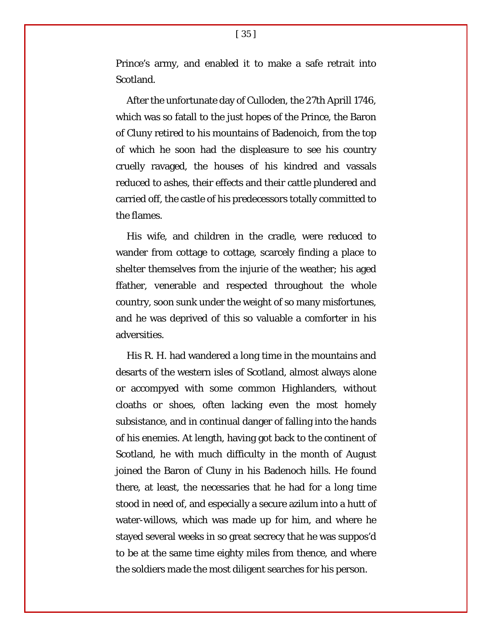Prince's army, and enabled it to make a safe retrait into Scotland.

After the unfortunate day of Culloden, the 27th Aprill 1746, which was so fatall to the just hopes of the Prince, the Baron of Cluny retired to his mountains of Badenoich, from the top of which he soon had the displeasure to see his country cruelly ravaged, the houses of his kindred and vassals reduced to ashes, their effects and their cattle plundered and carried off, the castle of his predecessors totally committed to the flames.

His wife, and children in the cradle, were reduced to wander from cottage to cottage, scarcely finding a place to shelter themselves from the injurie of the weather; his aged ffather, venerable and respected throughout the whole country, soon sunk under the weight of so many misfortunes, and he was deprived of this so valuable a comforter in his adversities.

His R. H. had wandered a long time in the mountains and desarts of the western isles of Scotland, almost always alone or accompyed with some common Highlanders, without cloaths or shoes, often lacking even the most homely subsistance, and in continual danger of falling into the hands of his enemies. At length, having got back to the continent of Scotland, he with much difficulty in the month of August joined the Baron of Cluny in his Badenoch hills. He found there, at least, the necessaries that he had for a long time stood in need of, and especially a secure azilum into a hutt of water-willows, which was made up for him, and where he stayed several weeks in so great secrecy that he was suppos'd to be at the same time eighty miles from thence, and where the soldiers made the most diligent searches for his person.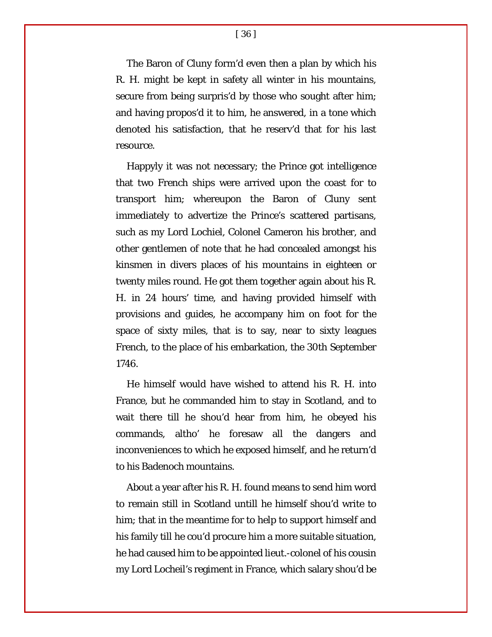The Baron of Cluny form'd even then a plan by which his R. H. might be kept in safety all winter in his mountains, secure from being surpris'd by those who sought after him; and having propos'd it to him, he answered, in a tone which denoted his satisfaction, that he reserv'd that for his last resource.

Happyly it was not necessary; the Prince got intelligence that two French ships were arrived upon the coast for to transport him; whereupon the Baron of Cluny sent immediately to advertize the Prince's scattered partisans, such as my Lord Lochiel, Colonel Cameron his brother, and other gentlemen of note that he had concealed amongst his kinsmen in divers places of his mountains in eighteen or twenty miles round. He got them together again about his R. H. in 24 hours' time, and having provided himself with provisions and guides, he accompany him on foot for the space of sixty miles, that is to say, near to sixty leagues French, to the place of his embarkation, the 30th September 1746.

He himself would have wished to attend his R. H. into France, but he commanded him to stay in Scotland, and to wait there till he shou'd hear from him, he obeyed his commands, altho' he foresaw all the dangers and inconveniences to which he exposed himself, and he return'd to his Badenoch mountains.

About a year after his R. H. found means to send him word to remain still in Scotland untill he himself shou'd write to him; that in the meantime for to help to support himself and his family till he cou'd procure him a more suitable situation, he had caused him to be appointed lieut.-colonel of his cousin my Lord Locheil's regiment in France, which salary shou'd be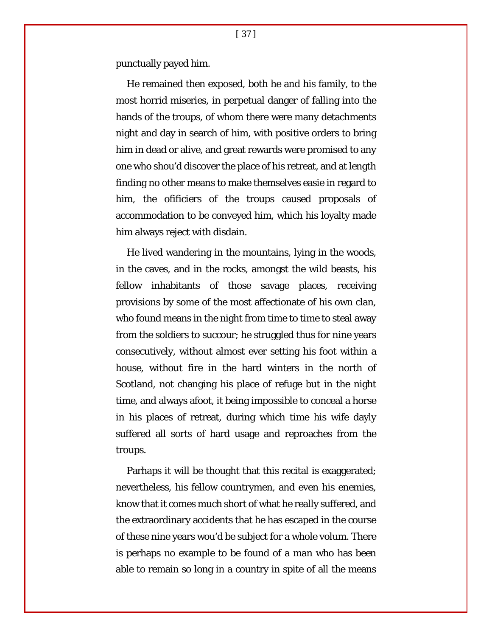punctually payed him.

He remained then exposed, both he and his family, to the most horrid miseries, in perpetual danger of falling into the hands of the troups, of whom there were many detachments night and day in search of him, with positive orders to bring him in dead or alive, and great rewards were promised to any one who shou'd discover the place of his retreat, and at length finding no other means to make themselves easie in regard to him, the ofificiers of the troups caused proposals of accommodation to be conveyed him, which his loyalty made him always reject with disdain.

He lived wandering in the mountains, lying in the woods, in the caves, and in the rocks, amongst the wild beasts, his fellow inhabitants of those savage places, receiving provisions by some of the most affectionate of his own clan, who found means in the night from time to time to steal away from the soldiers to succour; he struggled thus for nine years consecutively, without almost ever setting his foot within a house, without fire in the hard winters in the north of Scotland, not changing his place of refuge but in the night time, and always afoot, it being impossible to conceal a horse in his places of retreat, during which time his wife dayly suffered all sorts of hard usage and reproaches from the troups.

Parhaps it will be thought that this recital is exaggerated; nevertheless, his fellow countrymen, and even his enemies, know that it comes much short of what he really suffered, and the extraordinary accidents that he has escaped in the course of these nine years wou'd be subject for a whole volum. There is perhaps no example to be found of a man who has been able to remain so long in a country in spite of all the means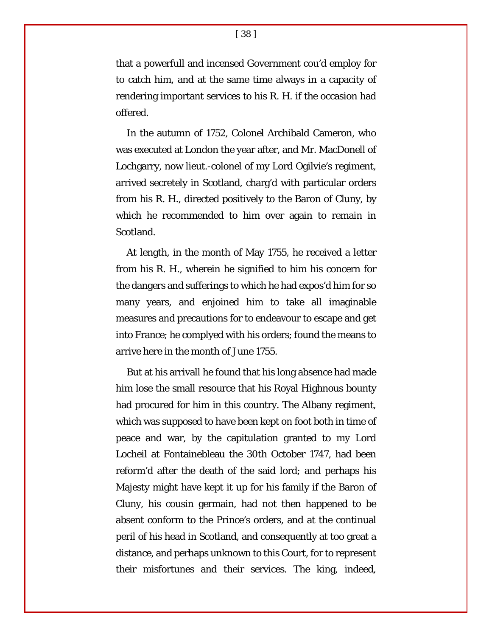that a powerfull and incensed Government cou'd employ for to catch him, and at the same time always in a capacity of rendering important services to his R. H. if the occasion had offered.

In the autumn of 1752, Colonel Archibald Cameron, who was executed at London the year after, and Mr. MacDonell of Lochgarry, now lieut.-colonel of my Lord Ogilvie's regiment, arrived secretely in Scotland, charg'd with particular orders from his R. H., directed positively to the Baron of Cluny, by which he recommended to him over again to remain in Scotland.

At length, in the month of May 1755, he received a letter from his R. H., wherein he signified to him his concern for the dangers and sufferings to which he had expos'd him for so many years, and enjoined him to take all imaginable measures and precautions for to endeavour to escape and get into France; he complyed with his orders; found the means to arrive here in the month of June 1755.

But at his arrivall he found that his long absence had made him lose the small resource that his Royal Highnous bounty had procured for him in this country. The Albany regiment, which was supposed to have been kept on foot both in time of peace and war, by the capitulation granted to my Lord Locheil at Fontainebleau the 30th October 1747, had been reform'd after the death of the said lord; and perhaps his Majesty might have kept it up for his family if the Baron of Cluny, his cousin germain, had not then happened to be absent conform to the Prince's orders, and at the continual peril of his head in Scotland, and consequently at too great a distance, and perhaps unknown to this Court, for to represent their misfortunes and their services. The king, indeed,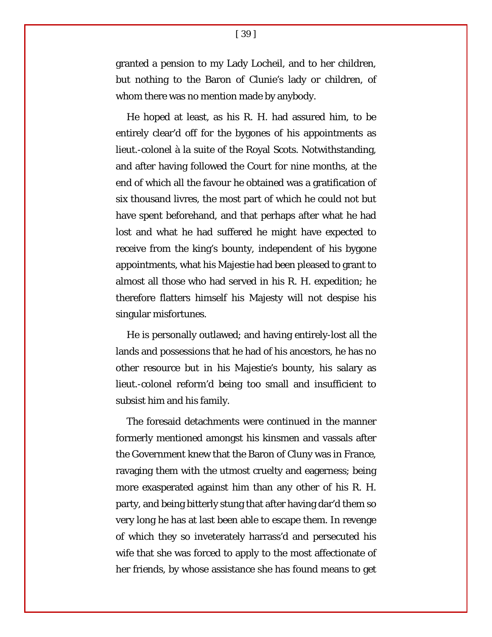granted a pension to my Lady Locheil, and to her children, but nothing to the Baron of Clunie's lady or children, of whom there was no mention made by anybody.

He hoped at least, as his R. H. had assured him, to be entirely clear'd off for the bygones of his appointments as lieut.-colonel à la suite of the Royal Scots. Notwithstanding, and after having followed the Court for nine months, at the end of which all the favour he obtained was a gratification of six thousand livres, the most part of which he could not but have spent beforehand, and that perhaps after what he had lost and what he had suffered he might have expected to receive from the king's bounty, independent of his bygone appointments, what his Majestie had been pleased to grant to almost all those who had served in his R. H. expedition; he therefore flatters himself his Majesty will not despise his singular misfortunes.

He is personally outlawed; and having entirely-lost all the lands and possessions that he had of his ancestors, he has no other resource but in his Majestie's bounty, his salary as lieut.-colonel reform'd being too small and insufficient to subsist him and his family.

The foresaid detachments were continued in the manner formerly mentioned amongst his kinsmen and vassals after the Government knew that the Baron of Cluny was in France, ravaging them with the utmost cruelty and eagerness; being more exasperated against him than any other of his R. H. party, and being bitterly stung that after having dar'd them so very long he has at last been able to escape them. In revenge of which they so inveterately harrass'd and persecuted his wife that she was forced to apply to the most affectionate of her friends, by whose assistance she has found means to get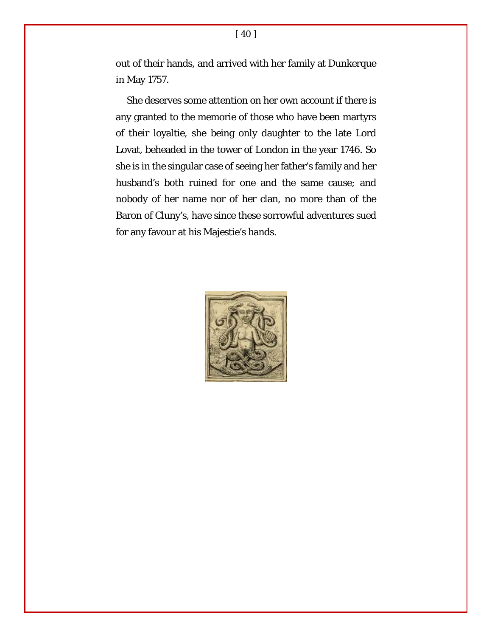out of their hands, and arrived with her family at Dunkerque in May 1757.

She deserves some attention on her own account if there is any granted to the memorie of those who have been martyrs of their loyaltie, she being only daughter to the late Lord Lovat, beheaded in the tower of London in the year 1746. So she is in the singular case of seeing her father's family and her husband's both ruined for one and the same cause; and nobody of her name nor of her clan, no more than of the Baron of Cluny's, have since these sorrowful adventures sued for any favour at his Majestie's hands.